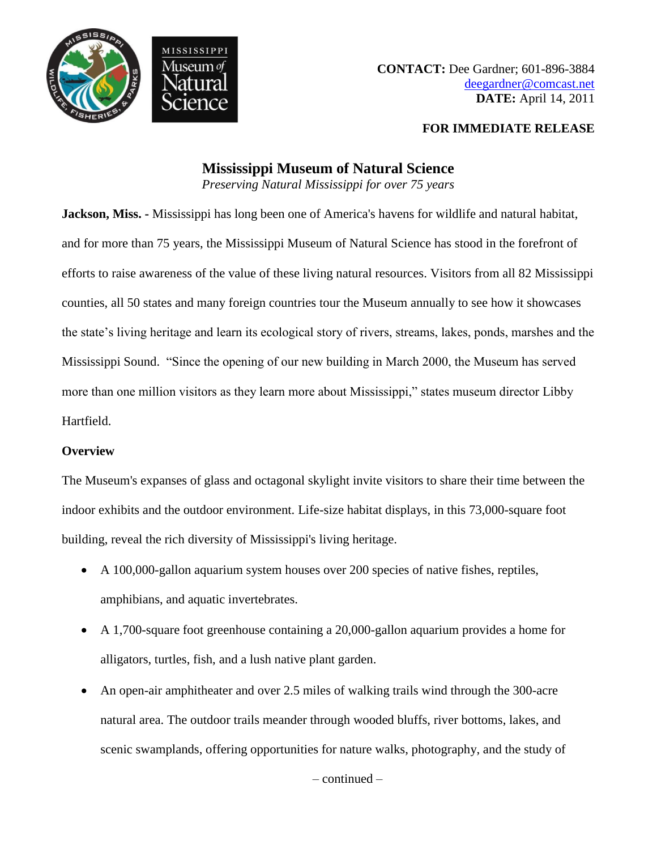

## **FOR IMMEDIATE RELEASE**

# **Mississippi Museum of Natural Science**

*Preserving Natural Mississippi for over 75 years*

**Jackson, Miss. -** Mississippi has long been one of America's havens for wildlife and natural habitat, and for more than 75 years, the Mississippi Museum of Natural Science has stood in the forefront of efforts to raise awareness of the value of these living natural resources. Visitors from all 82 Mississippi counties, all 50 states and many foreign countries tour the Museum annually to see how it showcases the state's living heritage and learn its ecological story of rivers, streams, lakes, ponds, marshes and the Mississippi Sound. "Since the opening of our new building in March 2000, the Museum has served more than one million visitors as they learn more about Mississippi," states museum director Libby Hartfield.

# **Overview**

The Museum's expanses of glass and octagonal skylight invite visitors to share their time between the indoor exhibits and the outdoor environment. Life-size habitat displays, in this 73,000-square foot building, reveal the rich diversity of Mississippi's living heritage.

- A 100,000-gallon aquarium system houses over 200 species of native fishes, reptiles, amphibians, and aquatic invertebrates.
- A 1,700-square foot greenhouse containing a 20,000-gallon aquarium provides a home for alligators, turtles, fish, and a lush native plant garden.
- An open-air amphitheater and over 2.5 miles of walking trails wind through the 300-acre natural area. The outdoor trails meander through wooded bluffs, river bottoms, lakes, and scenic swamplands, offering opportunities for nature walks, photography, and the study of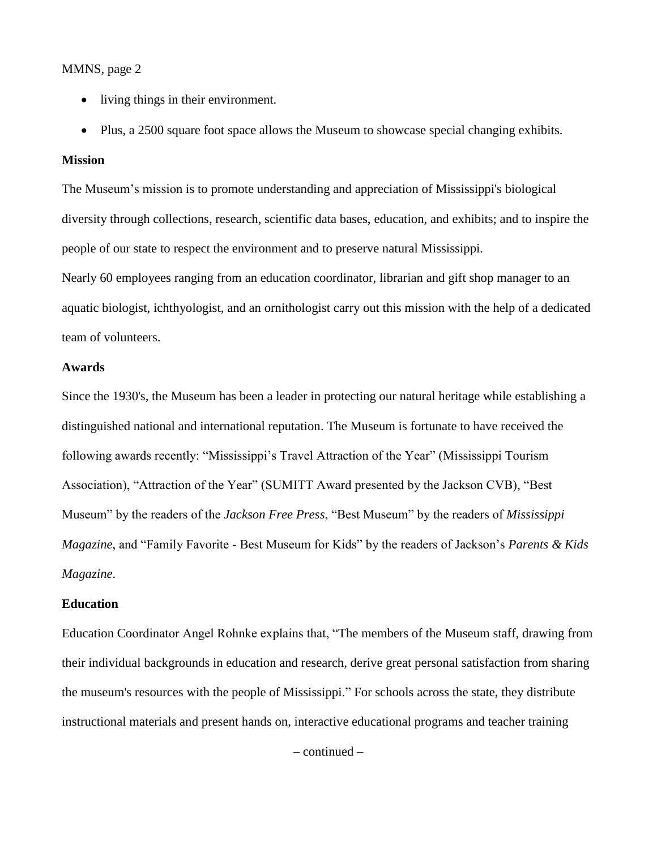## MMNS, page 2

- living things in their environment.
- Plus, a 2500 square foot space allows the Museum to showcase special changing exhibits.

## **Mission**

The Museum's mission is to promote understanding and appreciation of Mississippi's biological diversity through collections, research, scientific data bases, education, and exhibits; and to inspire the people of our state to respect the environment and to preserve natural Mississippi.

Nearly 60 employees ranging from an education coordinator, librarian and gift shop manager to an aquatic biologist, ichthyologist, and an ornithologist carry out this mission with the help of a dedicated team of volunteers.

## **Awards**

Since the 1930's, the Museum has been a leader in protecting our natural heritage while establishing a distinguished national and international reputation. The Museum is fortunate to have received the following awards recently: "Mississippi's Travel Attraction of the Year" (Mississippi Tourism Association), "Attraction of the Year" (SUMITT Award presented by the Jackson CVB), "Best Museum" by the readers of the *Jackson Free Press*, "Best Museum" by the readers of *Mississippi Magazine*, and "Family Favorite - Best Museum for Kids" by the readers of Jackson's *Parents & Kids Magazine*.

#### **Education**

Education Coordinator Angel Rohnke explains that, "The members of the Museum staff, drawing from their individual backgrounds in education and research, derive great personal satisfaction from sharing the museum's resources with the people of Mississippi." For schools across the state, they distribute instructional materials and present hands on, interactive educational programs and teacher training

– continued –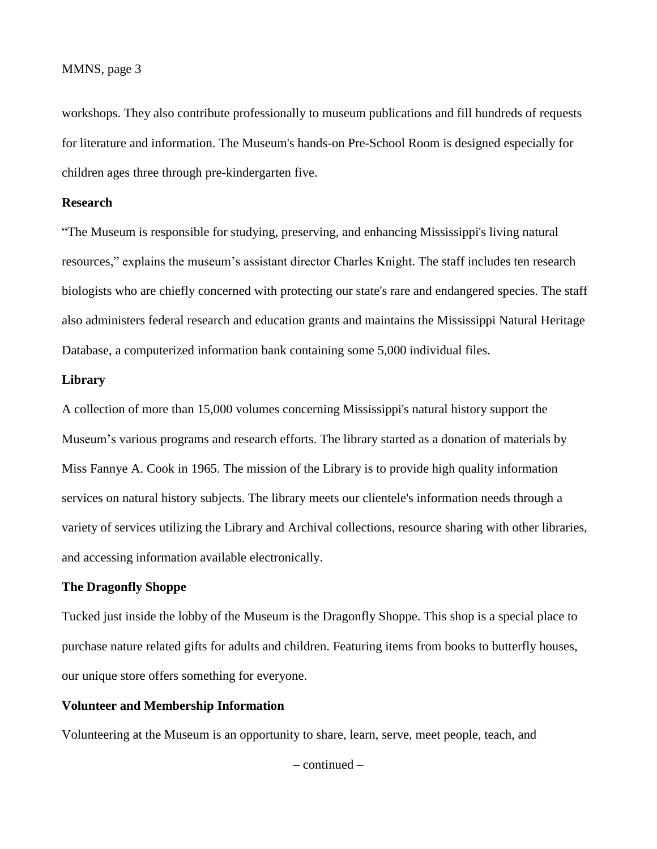#### MMNS, page 3

workshops. They also contribute professionally to museum publications and fill hundreds of requests for literature and information. The Museum's hands-on Pre-School Room is designed especially for children ages three through pre-kindergarten five.

## **Research**

"The Museum is responsible for studying, preserving, and enhancing Mississippi's living natural resources," explains the museum's assistant director Charles Knight. The staff includes ten research biologists who are chiefly concerned with protecting our state's rare and endangered species. The staff also administers federal research and education grants and maintains the Mississippi Natural Heritage Database, a computerized information bank containing some 5,000 individual files.

#### **Library**

A collection of more than 15,000 volumes concerning Mississippi's natural history support the Museum's various programs and research efforts. The library started as a donation of materials by Miss Fannye A. Cook in 1965. The mission of the Library is to provide high quality information services on natural history subjects. The library meets our clientele's information needs through a variety of services utilizing the Library and Archival collections, resource sharing with other libraries, and accessing information available electronically.

## **The Dragonfly Shoppe**

Tucked just inside the lobby of the Museum is the Dragonfly Shoppe. This shop is a special place to purchase nature related gifts for adults and children. Featuring items from books to butterfly houses, our unique store offers something for everyone.

## **Volunteer and Membership Information**

Volunteering at the Museum is an opportunity to share, learn, serve, meet people, teach, and

– continued –